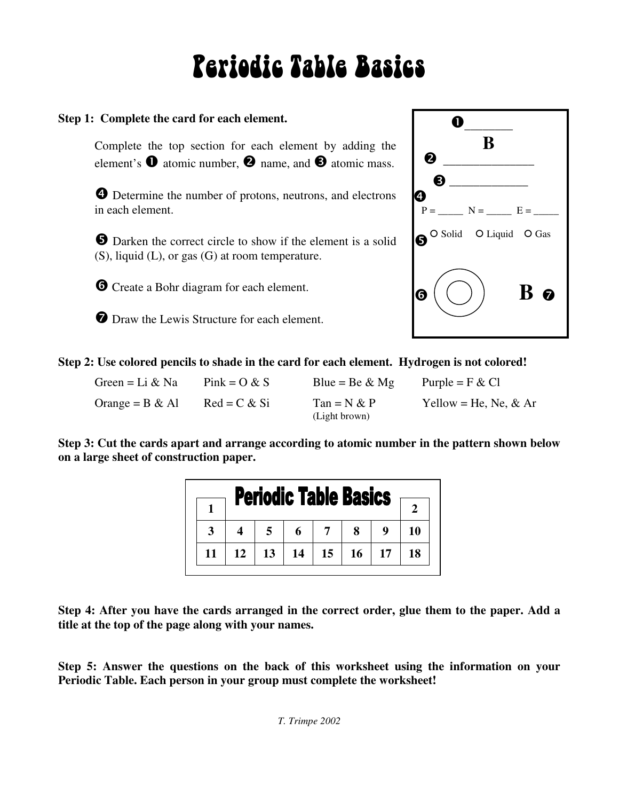# Periodic Table Basics

## **Step 1: Complete the card for each element.**

Complete the top section for each element by adding the element's  $\bullet$  atomic number,  $\bullet$  name, and  $\bullet$  atomic mass.

 Determine the number of protons, neutrons, and electrons in each element.

**O** Darken the correct circle to show if the element is a solid (S), liquid (L), or gas (G) at room temperature.

Create a Bohr diagram for each element.

**O** Draw the Lewis Structure for each element.



**Step 2: Use colored pencils to shade in the card for each element. Hydrogen is not colored!** 

| Green = Li & Na    | $\text{Pink} = \text{O} \& \text{S}$ | Blue = Be $\&$ Mg              | Purple = $F & Cl$     |
|--------------------|--------------------------------------|--------------------------------|-----------------------|
| Orange = $B \& A1$ | $Red = C & S$                        | $Tan = N & P$<br>(Light brown) | Yellow = He, Ne, & Ar |

**Step 3: Cut the cards apart and arrange according to atomic number in the pattern shown below on a large sheet of construction paper.** 

| <b>Periodic Table Basics</b> |  |    |    |    |                  |           |    |    |
|------------------------------|--|----|----|----|------------------|-----------|----|----|
|                              |  |    |    |    |                  |           |    |    |
|                              |  |    |    |    |                  | 8         |    |    |
|                              |  | 12 | 13 | 14 | 15 <sup>15</sup> | <b>16</b> | 17 | 18 |

**Step 4: After you have the cards arranged in the correct order, glue them to the paper. Add a title at the top of the page along with your names.**

**Step 5: Answer the questions on the back of this worksheet using the information on your Periodic Table. Each person in your group must complete the worksheet!**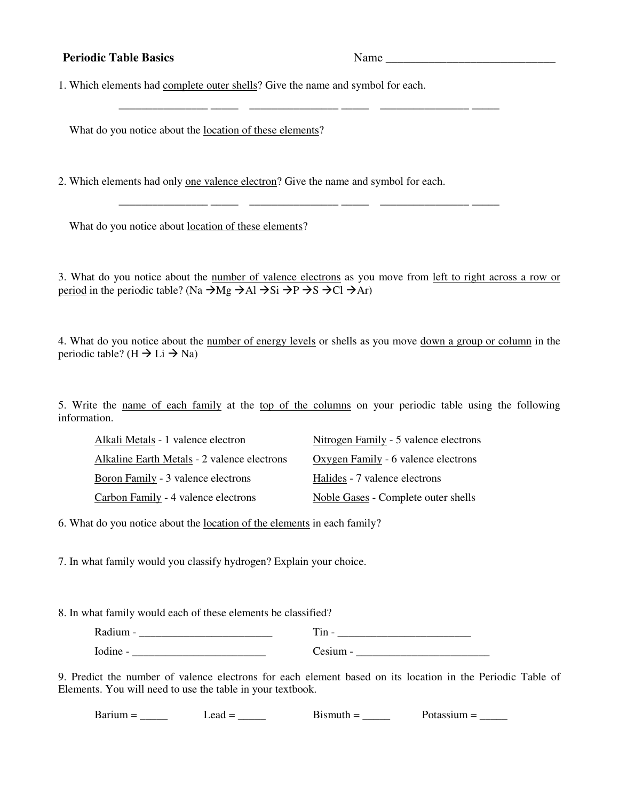### **Periodic Table Basics** Name \_\_\_\_\_\_\_\_\_\_\_\_\_\_\_\_\_\_\_\_\_\_\_\_\_\_\_\_

1. Which elements had complete outer shells? Give the name and symbol for each.

\_\_\_\_\_\_\_\_\_\_\_\_\_\_\_\_ \_\_\_\_\_ \_\_\_\_\_\_\_\_\_\_\_\_\_\_\_\_ \_\_\_\_\_ \_\_\_\_\_\_\_\_\_\_\_\_\_\_\_\_ \_\_\_\_\_

What do you notice about the location of these elements?

2. Which elements had only one valence electron? Give the name and symbol for each.

What do you notice about location of these elements?

3. What do you notice about the number of valence electrons as you move from left to right across a row or period in the periodic table? (Na  $\rightarrow$ Mg  $\rightarrow$ Al  $\rightarrow$ Si  $\rightarrow$ P  $\rightarrow$ S  $\rightarrow$ Cl  $\rightarrow$ Ar)

\_\_\_\_\_\_\_\_\_\_\_\_\_\_\_\_ \_\_\_\_\_ \_\_\_\_\_\_\_\_\_\_\_\_\_\_\_\_ \_\_\_\_\_ \_\_\_\_\_\_\_\_\_\_\_\_\_\_\_\_ \_\_\_\_\_

4. What do you notice about the number of energy levels or shells as you move down a group or column in the periodic table? (H  $\rightarrow$  Li  $\rightarrow$  Na)

5. Write the name of each family at the top of the columns on your periodic table using the following information.

| Alkali Metals - 1 valence electron          | Nitrogen Family - 5 valence electrons      |
|---------------------------------------------|--------------------------------------------|
| Alkaline Earth Metals - 2 valence electrons | Oxygen Family - 6 valence electrons        |
| Boron Family - 3 valence electrons          | Halides - 7 valence electrons              |
| Carbon Family - 4 valence electrons         | <b>Noble Gases - Complete outer shells</b> |

6. What do you notice about the location of the elements in each family?

7. In what family would you classify hydrogen? Explain your choice.

8. In what family would each of these elements be classified?

| <br>–<br>-<br>. |
|-----------------|
|                 |

9. Predict the number of valence electrons for each element based on its location in the Periodic Table of Elements. You will need to use the table in your textbook.

Barium = \_\_\_\_\_ Lead = \_\_\_\_\_ Bismuth = \_\_\_\_\_ Potassium = \_\_\_\_\_